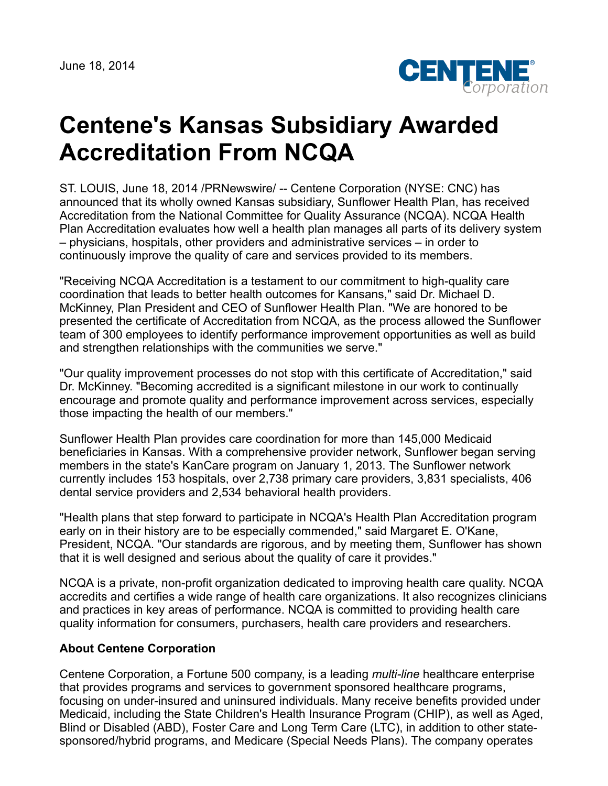June 18, 2014



## **Centene's Kansas Subsidiary Awarded Accreditation From NCQA**

ST. LOUIS, June 18, 2014 /PRNewswire/ -- Centene Corporation (NYSE: CNC) has announced that its wholly owned Kansas subsidiary, Sunflower Health Plan, has received Accreditation from the National Committee for Quality Assurance (NCQA). NCQA Health Plan Accreditation evaluates how well a health plan manages all parts of its delivery system – physicians, hospitals, other providers and administrative services – in order to continuously improve the quality of care and services provided to its members.

"Receiving NCQA Accreditation is a testament to our commitment to high-quality care coordination that leads to better health outcomes for Kansans," said Dr. Michael D. McKinney, Plan President and CEO of Sunflower Health Plan. "We are honored to be presented the certificate of Accreditation from NCQA, as the process allowed the Sunflower team of 300 employees to identify performance improvement opportunities as well as build and strengthen relationships with the communities we serve."

"Our quality improvement processes do not stop with this certificate of Accreditation," said Dr. McKinney. "Becoming accredited is a significant milestone in our work to continually encourage and promote quality and performance improvement across services, especially those impacting the health of our members."

Sunflower Health Plan provides care coordination for more than 145,000 Medicaid beneficiaries in Kansas. With a comprehensive provider network, Sunflower began serving members in the state's KanCare program on January 1, 2013. The Sunflower network currently includes 153 hospitals, over 2,738 primary care providers, 3,831 specialists, 406 dental service providers and 2,534 behavioral health providers.

"Health plans that step forward to participate in NCQA's Health Plan Accreditation program early on in their history are to be especially commended," said Margaret E. O'Kane, President, NCQA. "Our standards are rigorous, and by meeting them, Sunflower has shown that it is well designed and serious about the quality of care it provides."

NCQA is a private, non-profit organization dedicated to improving health care quality. NCQA accredits and certifies a wide range of health care organizations. It also recognizes clinicians and practices in key areas of performance. NCQA is committed to providing health care quality information for consumers, purchasers, health care providers and researchers.

## **About Centene Corporation**

Centene Corporation, a Fortune 500 company, is a leading *multi-line* healthcare enterprise that provides programs and services to government sponsored healthcare programs, focusing on under-insured and uninsured individuals. Many receive benefits provided under Medicaid, including the State Children's Health Insurance Program (CHIP), as well as Aged, Blind or Disabled (ABD), Foster Care and Long Term Care (LTC), in addition to other statesponsored/hybrid programs, and Medicare (Special Needs Plans). The company operates